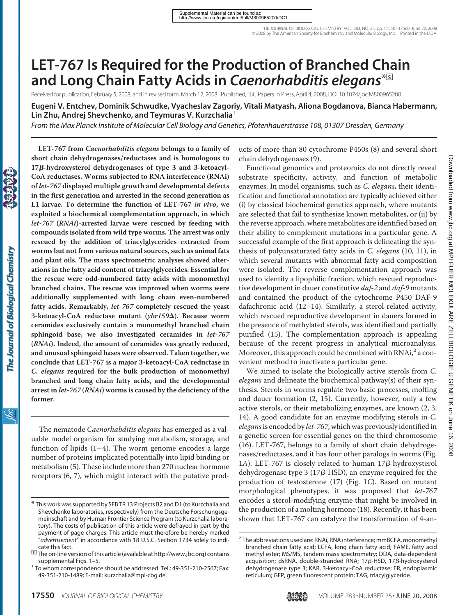THE JOURNAL OF BIOLOGICAL CHEMISTRY VOL. 283, NO. 25, pp. 17550 –17560, June 20, 2008 © 2008 by The American Society for Biochemistry and Molecular Biology, Inc. Printed in the U.S.A.

# **LET-767 Is Required for the Production of Branched Chain and Long Chain Fatty Acids in** *Caenorhabditis elegans***\***□**<sup>S</sup>**

Received for publication, February 5, 2008, and in revised form, March 12, 2008 Published, JBC Papers in Press, April 4, 2008, DOI 10.1074/jbc.M800965200

**Eugeni V. Entchev, Dominik Schwudke, Vyacheslav Zagoriy, Vitali Matyash, Aliona Bogdanova, Bianca Habermann, Lin Zhu, Andrej Shevchenko, and Teymuras V. Kurzchalia**<sup>1</sup>

*From the Max Planck Institute of Molecular Cell Biology and Genetics, Pfotenhauerstrasse 108, 01307 Dresden, Germany*

**short chain dehydrogenases/reductases and is homologous to 17-hydroxysterol dehydrogenases of type 3 and 3-ketoacyl-CoA reductases. Worms subjected to RNA interference (RNAi) of** *let-767* **displayed multiple growth and developmental defects in the first generation and arrested in the second generation as L1 larvae. To determine the function of LET-767** *in vivo***, we exploited a biochemical complementation approach, in which** *let-767* **(***RNAi***)-arrested larvae were rescued by feeding with compounds isolated from wild type worms. The arrest was only rescued by the addition of triacylglycerides extracted from worms but not from various natural sources, such as animal fats and plant oils. The mass spectrometric analyses showed alterations in the fatty acid content of triacylglycerides. Essential for the rescue were odd-numbered fatty acids with monomethyl branched chains. The rescue was improved when worms were additionally supplemented with long chain even-numbered fatty acids. Remarkably,** *let-767* **completely rescued the yeast 3-ketoacyl-CoA reductase mutant (***ybr159*-**). Because worm ceramides exclusively contain a monomethyl branched chain sphingoid base, we also investigated ceramides in** *let-767* **(***RNAi***). Indeed, the amount of ceramides was greatly reduced, and unusual sphingoid bases were observed. Taken together, we conclude that LET-767 is a major 3-ketoacyl-CoA reductase in** *C. elegans* **required for the bulk production of monomethyl branched and long chain fatty acids, and the developmental arrest in** *let-767* **(***RNAi***) worms is caused by the deficiency of the former.**

**LET-767 from** *Caenorhabditis elegans* **belongs to a family of**

The nematode *Caenorhabditis elegans* has emerged as a valuable model organism for studying metabolism, storage, and function of lipids  $(1-4)$ . The worm genome encodes a large number of proteins implicated potentially into lipid binding or metabolism (5). These include more than 270 nuclear hormone receptors (6, 7), which might interact with the putative products of more than 80 cytochrome P450s (8) and several short chain dehydrogenases (9).

Functional genomics and proteomics do not directly reveal substrate specificity, activity, and function of metabolic enzymes. In model organisms, such as *C. elegans*, their identification and functional annotation are typically achieved either (i) by classical biochemical genetics approach, where mutants are selected that fail to synthesize known metabolites, or (ii) by the reverse approach, where metabolites are identified based on their ability to complement mutations in a particular gene. A successful example of the first approach is delineating the synthesis of polyunsaturated fatty acids in *C. elegans* (10, 11), in which several mutants with abnormal fatty acid composition were isolated. The reverse complementation approach was used to identify a lipophilic fraction, which rescued reproductive development in dauer constitutive *daf-2* and *daf-9* mutants and contained the product of the cytochrome P450 DAF-9 dafachronic acid (12–14). Similarly, a sterol-related activity, which rescued reproductive development in dauers formed in the presence of methylated sterols, was identified and partially purified (15). The complementation approach is appealing because of the recent progress in analytical microanalysis. Moreover, this approach could be combined with  $RNAi<sub>1</sub><sup>2</sup>$  a convenient method to inactivate a particular gene.

We aimed to isolate the biologically active sterols from *C. elegans* and delineate the biochemical pathway(s) of their synthesis. Sterols in worms regulate two basic processes, molting and dauer formation (2, 15). Currently, however, only a few active sterols, or their metabolizing enzymes, are known (2, 3, 14). A good candidate for an enzyme modifying sterols in *C. elegans*is encoded by *let-767*, which was previously identified in a genetic screen for essential genes on the third chromosome (16). LET-767, belongs to a family of short chain dehydrogenases/reductases, and it has four other paralogs in worms (Fig. 1*A*). LET-767 is closely related to human  $17\beta$ -hydroxysterol dehydrogenase type 3 (17 $\beta$ -HSD), an enzyme required for the production of testosterone (17) (Fig. 1*C*). Based on mutant morphological phenotypes, it was proposed that *let-767* encodes a sterol-modifying enzyme that might be involved in the production of a molting hormone (18). Recently, it has been shown that LET-767 can catalyze the transformation of 4-an-

<sup>\*</sup> This work was supported by SFB TR 13 Projects B2 and D1 (to Kurzchalia and Shevchenko laboratories, respectively) from the Deutsche Forschungsgemeinschaft and by Human Frontier Science Program (to Kurzchalia laboratory). The costs of publication of this article were defrayed in part by the payment of page charges. This article must therefore be hereby marked "*advertisement*" in accordance with 18 U.S.C. Section 1734 solely to indicate this fact.

<sup>□</sup>**<sup>S</sup>** The on-line version of this article (available at http://www.jbc.org) contains

supplemental Figs. 1–5. <sup>1</sup> To whom correspondence should be addressed. Tel.: 49-351-210-2567; Fax: 49-351-210-1489; E-mail: kurzchalia@mpi-cbg.de.

<sup>&</sup>lt;sup>2</sup> The abbreviations used are: RNAi, RNA interference; mmBCFA, monomethyl branched chain fatty acid; LCFA, long chain fatty acid; FAME, fatty acid methyl ester; MS/MS, tandem mass spectrometry; DDA, data-dependent acquisition; dsRNA, double-stranded RNA;  $17\beta$ -HSD,  $17\beta$ -hydroxysterol dehydrogenase type 3; KAR, 3-ketoacyl-CoA reductase; ER, endoplasmic reticulum; GFP, green fluorescent protein; TAG, triacylglyceride.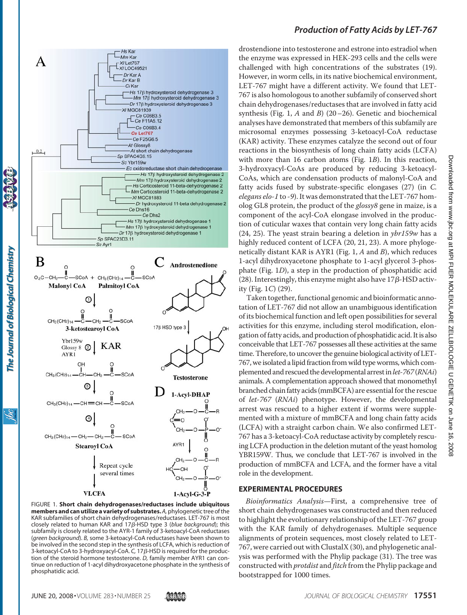

The Journal of Biological Chemistry

ibc

FIGURE 1. **Short chain dehydrogenases/reductases include ubiquitous members and can utilize a variety of substrates.***A,*phylogenetic tree of the KAR subfamilies of short chain dehydrogenases/reductases. LET-767 is most closely related to human KAR and 17 $\beta$ -HSD type 3 (blue background); this subfamily is closely related to the AYR-1 family of 3-ketoacyl-CoA reductases (*green background*). *B,* some 3-ketoacyl-CoA reductases have been shown to be involved in the second step in the synthesis of LCFA, which is reduction of 3-ketoacyl-CoA to 3-hydroxyacyl-CoA. *C*, 17β-HSD is required for the production of the steroid hormone testosterone. *D,* family member AYR1 can continue on reduction of 1-acyl dihydroxyacetone phosphate in the synthesis of phosphatidic acid.

# *Production of Fatty Acids by LET-767*

drostendione into testosterone and estrone into estradiol when the enzyme was expressed in HEK-293 cells and the cells were challenged with high concentrations of the substrates (19). However, in worm cells, in its native biochemical environment, LET-767 might have a different activity. We found that LET-767 is also homologous to another subfamily of conserved short chain dehydrogenases/reductases that are involved in fatty acid synthesis (Fig. 1, *A* and *B*) (20–26). Genetic and biochemical analyses have demonstrated that members of this subfamily are microsomal enzymes possessing 3-ketoacyl-CoA reductase (KAR) activity. These enzymes catalyze the second out of four reactions in the biosynthesis of long chain fatty acids (LCFA) with more than 16 carbon atoms (Fig. 1*B*). In this reaction, 3-hydroxyacyl-CoAs are produced by reducing 3-ketoacyl-CoAs, which are condensation products of malonyl-CoA and fatty acids fused by substrate-specific elongases (27) (in *C. elegans elo-1* to *-9*). It was demonstrated that the LET-767 homolog GL8 protein, the product of the *glossy8* gene in maize, is a component of the acyl-CoA elongase involved in the production of cuticular waxes that contain very long chain fatty acids (24, 25). The yeast strain bearing a deletion in *ybr159w* has a highly reduced content of LCFA (20, 21, 23). A more phylogenetically distant KAR is AYR1 (Fig. 1, *A* and *B*), which reduces 1-acyl dihydroxyacetone phosphate to 1-acyl glycerol 3-phosphate (Fig. 1*D*), a step in the production of phosphatidic acid (28). Interestingly, this enzyme might also have  $17\beta$ -HSD activity (Fig. 1*C*) (29).

Taken together, functional genomic and bioinformatic annotation of LET-767 did not allow an unambiguous identification of its biochemical function and left open possibilities for several activities for this enzyme, including sterol modification, elongation of fatty acids, and production of phosphatidic acid. It is also conceivable that LET-767 possesses all these activities at the same time. Therefore, to uncover the genuine biological activity of LET-767, we isolated a lipid fraction from wild type worms, which complemented and rescued the developmental arrestin*let-767* (*RNAi*) animals. A complementation approach showed that monomethyl branched chain fatty acids (mmBCFA) are essential for the rescue of *let-767* (*RNAi*) phenotype. However, the developmental arrest was rescued to a higher extent if worms were supplemented with a mixture of mmBCFA and long chain fatty acids (LCFA) with a straight carbon chain. We also confirmed LET-767 has a 3-ketoacyl-CoA reductase activity by completely rescuing LCFA production in the deletion mutant of the yeast homolog YBR159W. Thus, we conclude that LET-767 is involved in the production of mmBCFA and LCFA, and the former have a vital role in the development.

#### **EXPERIMENTAL PROCEDURES**

*Bioinformatics Analysis*—First, a comprehensive tree of short chain dehydrogenases was constructed and then reduced to highlight the evolutionary relationship of the LET-767 group with the KAR family of dehydrogenases. Multiple sequence alignments of protein sequences, most closely related to LET-767, were carried out with ClustalX (30), and phylogenetic analysis was performed with the Phylip package (31). The tree was constructed with *protdist* and *fitch* from the Phylip package and bootstrapped for 1000 times.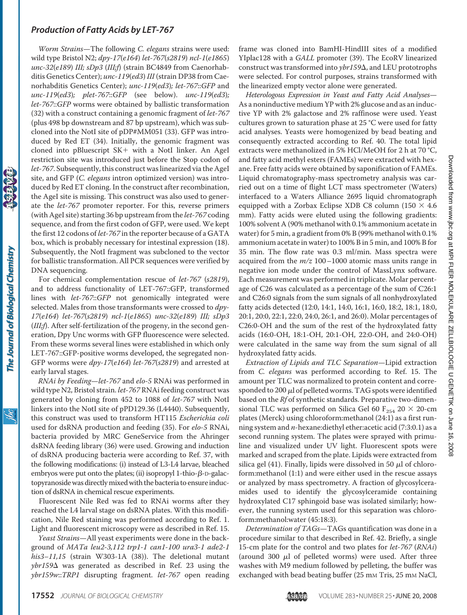*Worm Strains*—The following *C. elegans* strains were used: wild type Bristol N2; *dpy-17*(*e164*) *let-767*(*s2819*) *ncl-1*(*e1865*) *unc-32*(*e189*) *III; sDp3* (*III;f*) (strain BC4849 from Caenorhabditis Genetics Center); *unc-119*(*ed3*) *III* (strain DP38 from Caenorhabditis Genetics Center); *unc-119*(*ed3*)*; let-767*::*GFP* and *unc-119*(*ed3*)*; plet-767*::*GFP* (see below). *unc-119*(*ed3*)*; let-767*::*GFP* worms were obtained by ballistic transformation (32) with a construct containing a genomic fragment of *let-767* (plus 498 bp downstream and 87 bp upstream), which was subcloned into the NotI site of pDP#MM051 (33). GFP was introduced by Red ET (34). Initially, the genomic fragment was cloned into pBluescript  $SK+$  with a NotI linker. An AgeI restriction site was introduced just before the Stop codon of *let-767*. Subsequently, this construct was linearized via the AgeI site, and GFP (*C. elegans* intron optimized version) was introduced by Red ET cloning. In the construct after recombination, the AgeI site is missing. This construct was also used to generate the *let-767* promoter reporter. For this, reverse primers (with AgeI site) starting 36 bp upstream from the *let-767* coding sequence, and from the first codon of GFP, were used. We kept the first 12 codons of *let-767* in the reporter because of a GATA box, which is probably necessary for intestinal expression (18). Subsequently, the NotI fragment was subcloned to the vector for ballistic transformation. All PCR sequences were verified by DNA sequencing.

For chemical complementation rescue of *let-767* (*s2819*), and to address functionality of LET-767::GFP, transformed lines with *let-767*::*GFP* not genomically integrated were selected. Males from those transformants were crossed to *dpy-17*(*e164*) *let-767*(*s2819*) *ncl-1*(*e1865*) *unc-32*(*e189*) *III; sDp3* (*III;f*). After self-fertilization of the progeny, in the second generation, Dpy Unc worms with GFP fluorescence were selected. From these worms several lines were established in which only LET-767::GFP-positive worms developed, the segregated non-GFP worms were *dpy-17*(*e164*) *let-767*(*s2819*) and arrested at early larval stages.

*RNAi by Feeding*—*let-767* and *elo-5* RNAi was performed in wild type N2, Bristol strain. *let-767* RNAi feeding construct was generated by cloning from 452 to 1088 of *let-767* with NotI linkers into the NotI site of pPD129.36 (L4440). Subsequently, this construct was used to transform HT115 *Escherichia coli* used for dsRNA production and feeding (35). For *elo-5* RNAi, bacteria provided by MRC GeneService from the Ahringer dsRNA feeding library (36) were used. Growing and induction of dsRNA producing bacteria were according to Ref. 37, with the following modifications: (i) instead of L3-L4 larvae, bleached embryos were put onto the plates; (ii) isopropyl 1-thio- $\beta$ -D-galactopyranoside was directly mixed with the bacteria to ensure induction of dsRNA in chemical rescue experiments.

Fluorescent Nile Red was fed to RNAi worms after they reached the L4 larval stage on dsRNA plates. With this modification, Nile Red staining was performed according to Ref. 1. Light and fluorescent microscopy were as described in Ref. 15.

*Yeast Strains*—All yeast experiments were done in the background of *MATa leu2-3,112 trp1-1 can1-100 ura3-1 ade2-1 his3–11,15* (strain W303-1A (38)). The deletional mutant *ybr159*- was generated as described in Ref. 23 using the *ybr159w*::*TRP1* disrupting fragment. *let-767* open reading frame was cloned into BamHI-HindIII sites of a modified YIplac128 with a *GALL* promoter (39). The EcoRV linearized construct was transformed into *ybr159* $\Delta$ , and LEU prototrophs were selected. For control purposes, strains transformed with the linearized empty vector alone were generated.

*Heterologous Expression in Yeast and Fatty Acid Analyses*— As a noninductive medium YP with 2% glucose and as an inductive YP with 2% galactose and 2% raffinose were used. Yeast cultures grown to saturation phase at 25 °C were used for fatty acid analyses. Yeasts were homogenized by bead beating and consequently extracted according to Ref. 40. The total lipid extracts were methanolized in 5% HCl/MeOH for 2 h at 70 °C, and fatty acid methyl esters (FAMEs) were extracted with hexane. Free fatty acids were obtained by saponification of FAMEs. Liquid chromatography-mass spectrometry analysis was carried out on a time of flight LCT mass spectrometer (Waters) interfaced to a Waters Alliance 2695 liquid chromatograph equipped with a Zorbax Eclipse XDB C8 column (150  $\times$  4.6 mm). Fatty acids were eluted using the following gradients: 100% solvent A (90% methanol with 0.1% ammonium acetate in water) for 5 min, a gradient from 0% B (99% methanol with 0.1% ammonium acetate in water) to 100% B in 5 min, and 100% B for 35 min. The flow rate was 0.3 ml/min. Mass spectra were acquired from the *m/z* 100–1000 atomic mass units range in negative ion mode under the control of MassLynx software. Each measurement was performed in triplicate. Molar percentage of C26 was calculated as a percentage of the sum of C26:1 and C26:0 signals from the sum signals of all nonhydroxylated fatty acids detected (12:0, 14:1, 14:0, 16:1, 16:0, 18:2, 18:1, 18:0, 20:1, 20:0, 22:1, 22:0, 24:0, 26:1, and 26:0). Molar percentages of C26:0-OH and the sum of the rest of the hydroxylated fatty acids (16:0-OH, 18:1-OH, 20:1-OH, 22:0-OH, and 24:0-OH) were calculated in the same way from the sum signal of all hydroxylated fatty acids.

*Extraction of Lipids and TLC Separation*—Lipid extraction from *C. elegans* was performed according to Ref. 15. The amount per TLC was normalized to protein content and corresponded to 200  $\mu$ l of pelleted worms. TAG spots were identified based on the *Rf* of synthetic standards. Preparative two-dimensional TLC was performed on Silica Gel 60  $F_{254}$  20  $\times$  20-cm plates (Merck) using chloroform:methanol (24:1) as a first running system and *n*-hexane:diethyl ether:acetic acid (7:3:0.1) as a second running system. The plates were sprayed with primuline and visualized under UV light. Fluorescent spots were marked and scraped from the plate. Lipids were extracted from silica gel (41). Finally, lipids were dissolved in 50  $\mu$ l of chloroform:methanol (1:1) and were either used in the rescue assays or analyzed by mass spectrometry. A fraction of glycosylceramides used to identify the glycosylceramide containing hydroxylated C17 sphingoid base was isolated similarly; however, the running system used for this separation was chloroform:methanol:water (45:18:3).

*Determination of TAGs*—TAGs quantification was done in a procedure similar to that described in Ref. 42. Briefly, a single 15-cm plate for the control and two plates for *let-767* (*RNAi*) (around 300  $\mu$ l of pelleted worms) were used. After three washes with M9 medium followed by pelleting, the buffer was exchanged with bead beating buffer (25 mm Tris, 25 mm NaCl,

<u>жі</u>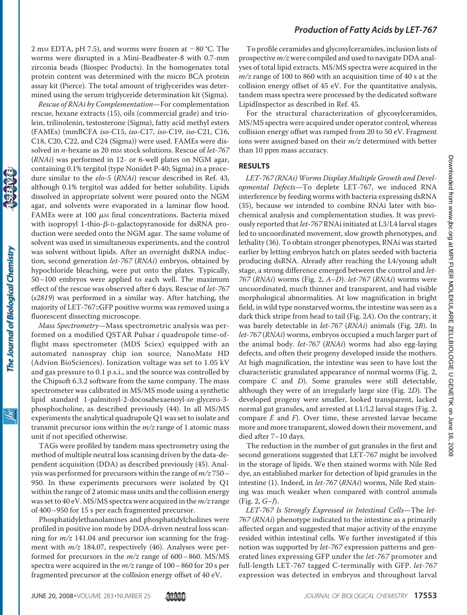2 mm EDTA, pH 7.5), and worms were frozen at  $-80$  °C. The worms were disrupted in a Mini-Beadbeater-8 with 0.7-mm zirconia beads (Biospec Products). In the homogenates total protein content was determined with the micro BCA protein assay kit (Pierce). The total amount of triglycerides was determined using the serum triglyceride determination kit (Sigma).

*Rescue of RNAi by Complementation*—For complementation rescue, hexane extracts (15), oils (commercial grade) and triolein, trilinolenin, testosterone (Sigma), fatty acid methyl esters (FAMEs) (mmBCFA *iso-*C15, *iso-*C17, *iso-*C19, *iso-*C21, C16, C18, C20, C22, and C24 (Sigma)) were used. FAMEs were dissolved in *n*-hexane as 20 mM stock solutions. Rescue of *let-767* (*RNAi*) was performed in 12- or 6-well plates on NGM agar, containing 0.1% tergitol (type Nonidet P-40; Sigma) in a procedure similar to the *elo-5* (*RNAi*) rescue described in Ref. 43, although 0.1% tergitol was added for better solubility. Lipids dissolved in appropriate solvent were poured onto the NGM agar, and solvents were evaporated in a laminar flow hood. FAMEs were at 100  $\mu$ M final concentrations. Bacteria mixed with isopropyl 1-thio- $\beta$ -D-galactopyranoside for dsRNA production were seeded onto the NGM agar. The same volume of solvent was used in simultaneous experiments, and the control was solvent without lipids. After an overnight dsRNA induction, second generation *let-767* (*RNAi*) embryos, obtained by hypochloride bleaching, were put onto the plates. Typically, 50–100 embryos were applied to each well. The maximum effect of the rescue was observed after 6 days. Rescue of *let-767* (*s2819*) was performed in a similar way. After hatching, the majority of LET-767::GFP positive worms was removed using a fluorescent dissecting microscope.

*Mass Spectrometry*—Mass spectrometric analysis was performed on a modified QSTAR Pulsar *i* quadrupole time-offlight mass spectrometer (MDS Sciex) equipped with an automated nanospray chip ion source, NanoMate HD (Advion BioSciences). Ionization voltage was set to 1.05 kV and gas pressure to 0.1 p.s.i., and the source was controlled by the Chipsoft 6.3.2 software from the same company. The mass spectrometer was calibrated in MS/MS mode using a synthetic lipid standard 1-palmitoyl-2-docosahexaenoyl-*sn*-glycero-3 phosphocholine, as described previously (44). In all MS/MS experiments the analytical quadrupole Q1 was set to isolate and transmit precursor ions within the *m/z* range of 1 atomic mass unit if not specified otherwise.

TAGs were profiled by tandem mass spectrometry using the method of multiple neutral loss scanning driven by the data-dependent acquisition (DDA) as described previously (45). Analysis was performed for precursors within the range of *m/z* 750– 950. In these experiments precursors were isolated by Q1 within the range of 2 atomic mass units and the collision energy was set to 40 eV. MS/MS spectra were acquired in the *m/z* range of 400–950 for 15 s per each fragmented precursor.

Phosphatidylethanolamines and phosphatidylcholines were profiled in positive ion mode by DDA-driven neutral loss scanning for *m/z* 141.04 and precursor ion scanning for the fragment with *m/z* 184.07, respectively (46). Analyses were performed for precursors in the *m/z* range of 600– 860. MS/MS spectra were acquired in the *m/z* range of 100– 860 for 20 s per fragmented precursor at the collision energy offset of 40 eV.

To profile ceramides and glycosylceramides, inclusion lists of prospective *m/z* were compiled and used to navigate DDA analyses of total lipid extracts. MS/MS spectra were acquired in the *m/z* range of 100 to 860 with an acquisition time of 40 s at the collision energy offset of 45 eV. For the quantitative analysis, tandem mass spectra were processed by the dedicated software LipidInspector as described in Ref. 45.

For the structural characterization of glycosylceramides, MS/MS spectra were acquired under operator control, whereas collision energy offset was ramped from 20 to 50 eV. Fragment ions were assigned based on their *m/z* determined with better than 10 ppm mass accuracy.

#### **RESULTS**

*LET-767 (RNAi) Worms Display Multiple Growth and Developmental Defects*—To deplete LET-767, we induced RNA interference by feeding worms with bacteria expressing dsRNA (35), because we intended to combine RNAi later with biochemical analysis and complementation studies. It was previously reported that *let-767* RNAi initiated at L3/L4 larval stages led to uncoordinated movement, slow growth phenotypes, and lethality (36). To obtain stronger phenotypes, RNAi was started earlier by letting embryos hatch on plates seeded with bacteria producing dsRNA. Already after reaching the L4/young adult stage, a strong difference emerged between the control and *let-767* (*RNAi*) worms (Fig. 2, *A*–*D*). *let-767* (*RNAi*) worms were uncoordinated, much thinner and transparent, and had visible morphological abnormalities. At low magnification in bright field, in wild type nonstarved worms, the intestine was seen as a dark thick stripe from head to tail (Fig. 2*A*). On the contrary, it was barely detectable in *let-767* (*RNAi*) animals (Fig. 2*B*). In *let-767* (*RNAi*) worms, embryos occupied a much larger part of the animal body. *let-767* (*RNAi*) worms had also egg-laying defects, and often their progeny developed inside the mothers. At high magnification, the intestine was seen to have lost the characteristic granulated appearance of normal worms (Fig. 2, compare *C* and *D*). Some granules were still detectable, although they were of an irregularly large size (Fig. 2*D*). The developed progeny were smaller, looked transparent, lacked normal gut granules, and arrested at L1/L2 larval stages (Fig. 2, compare *E* and *F*). Over time, these arrested larvae became more and more transparent, slowed down their movement, and died after 7–10 days.

The reduction in the number of gut granules in the first and second generations suggested that LET-767 might be involved in the storage of lipids. We then stained worms with Nile Red dye, an established marker for detection of lipid granules in the intestine (1). Indeed, in *let-767* (*RNAi*) worms, Nile Red staining was much weaker when compared with control animals (Fig. 2, *G*–*J*).

*LET-767 Is Strongly Expressed in Intestinal Cells*—The *let-767* (*RNAi*) phenotype indicated to the intestine as a primarily affected organ and suggested that major activity of the enzyme resided within intestinal cells. We further investigated if this notion was supported by *let-767* expression patterns and generated lines expressing GFP under the *let-767* promoter and full-length LET-767 tagged C-terminally with GFP. *let-767* expression was detected in embryos and throughout larval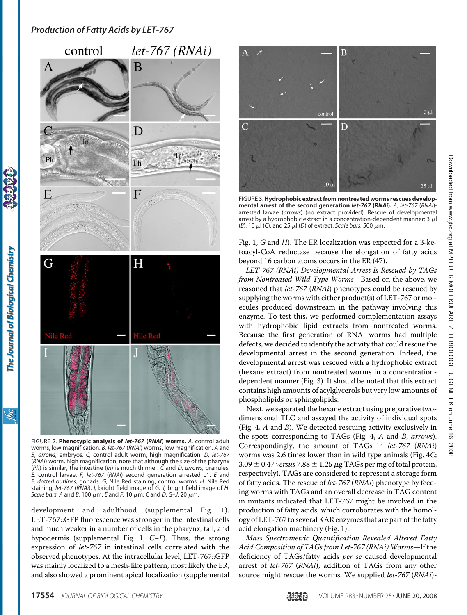

FIGURE 2. **Phenotypic analysis of** *let-767* **(***RNAi***) worms.** *A,* control adult worms, low magnification. *B, let-767* (*RNAi*) worms, low magnification. *A* and *B*, *arrows,* embryos. *C,* control adult worm, high magnification. *D, let-767* (*RNAi*) worm, high magnification; note that although the size of the pharynx (*Ph*) is similar, the intestine (*In*) is much thinner. *C* and *D*, *arrows,* granules. *E,* control larvae. *F, let-767* (*RNAi*) second generation arrested L1. *E* and *F, dotted outlines,* gonads. *G,* Nile Red staining, control worms. *H,* Nile Red staining, *let-767* (*RNAi*). *I,* bright field image of *G. J,* bright field image of *H*. *Scale bars, A* and *B*, 100  $\mu$ m; *E* and *F*, 10  $\mu$ m; *C* and *D*, *G-J*, 20  $\mu$ m.

development and adulthood [\(supplemental Fig. 1\)](http://www.jbc.org/cgi/content/full/M800965200/DC1). LET-767::GFP fluorescence was stronger in the intestinal cells and much weaker in a number of cells in the pharynx, tail, and hypodermis [\(supplemental Fig. 1,](http://www.jbc.org/cgi/content/full/M800965200/DC1) *C*–*F*). Thus, the strong expression of *let-767* in intestinal cells correlated with the observed phenotypes. At the intracellular level, LET-767::GFP was mainly localized to a mesh-like pattern, most likely the ER, and also showed a prominent apical localization [\(supplemental](http://www.jbc.org/cgi/content/full/M800965200/DC1)



FIGURE 3.**Hydrophobic extract from nontreated worms rescues developmental arrest of the second generation** *let-767* **(***RNAi***).** *A, let-767* (*RNAi*) arrested larvae (*arrows*) (no extract provided). Rescue of developmental arrest by a hydrophobic extract in a concentration-dependent manner: 3  $\mu$ l  $(B)$ , 10  $\mu$ l (*C*), and 25  $\mu$ l (*D*) of extract. *Scale bars*, 500  $\mu$ m.

[Fig. 1,](http://www.jbc.org/cgi/content/full/M800965200/DC1) *G* and *H*). The ER localization was expected for a 3-ketoacyl-CoA reductase because the elongation of fatty acids beyond 16 carbon atoms occurs in the ER (47).

*LET-767 (RNAi) Developmental Arrest Is Rescued by TAGs from Nontreated Wild Type Worms*—Based on the above, we reasoned that *let-767* (*RNAi*) phenotypes could be rescued by supplying the worms with either product(s) of LET-767 or molecules produced downstream in the pathway involving this enzyme. To test this, we performed complementation assays with hydrophobic lipid extracts from nontreated worms. Because the first generation of RNAi worms had multiple defects, we decided to identify the activity that could rescue the developmental arrest in the second generation. Indeed, the developmental arrest was rescued with a hydrophobic extract (hexane extract) from nontreated worms in a concentrationdependent manner (Fig. 3). It should be noted that this extract contains high amounts of acylglycerols but very low amounts of phospholipids or sphingolipids.

Next, we separated the hexane extract using preparative twodimensional TLC and assayed the activity of individual spots (Fig. 4, *A* and *B*). We detected rescuing activity exclusively in the spots corresponding to TAGs (Fig. 4, *A* and *B*, *arrows*). Correspondingly, the amount of TAGs in *let-767* (*RNAi*) worms was 2.6 times lower than in wild type animals (Fig. 4*C*;  $3.09 \pm 0.47$  *versus*  $7.88 \pm 1.25$   $\mu$ g TAGs per mg of total protein, respectively). TAGs are considered to represent a storage form of fatty acids. The rescue of *let-767* (*RNAi*) phenotype by feeding worms with TAGs and an overall decrease in TAG content in mutants indicated that LET-767 might be involved in the production of fatty acids, which corroborates with the homology of LET-767 to several KAR enzymes that are part of the fatty acid elongation machinery (Fig. 1).

*Mass Spectrometric Quantification Revealed Altered Fatty Acid Composition of TAGs from Let-767 (RNAi) Worms*—If the deficiency of TAGs/fatty acids *per se* caused developmental arrest of *let-767* (*RNAi*), addition of TAGs from any other source might rescue the worms. We supplied *let-767* (*RNAi*)-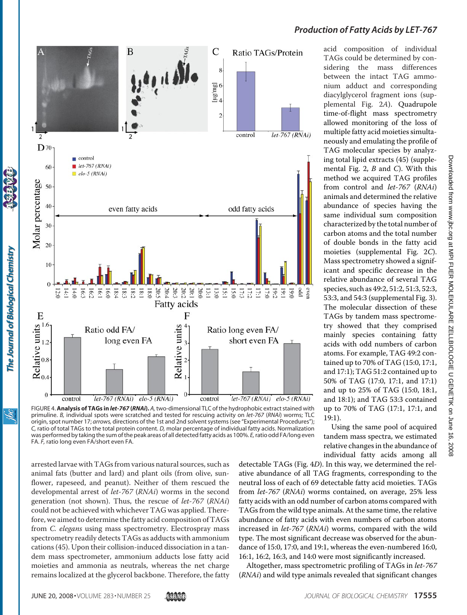

FIGURE 4.**Analysis of TAGs in** *let-767* **(***RNAi***).** *A,*two-dimensional TLC of the hydrophobic extract stained with primuline. *B,* individual spots were scratched and tested for rescuing activity on *let-767* (*RNAi*) worms; TLC origin, spot number 17; *arrows,* directions of the 1st and 2nd solvent systems (see "Experimental Procedures"); *C,* ratio of total TAGs to the total protein content. *D,* molar percentage of individual fatty acids. Normalization was performed by taking the sum of the peak areas of all detected fatty acids as 100%. *E*, ratio odd FA/long even FA. *F,* ratio long even FA/short even FA.

arrested larvae with TAGs from various natural sources, such as animal fats (butter and lard) and plant oils (from olive, sunflower, rapeseed, and peanut). Neither of them rescued the developmental arrest of *let-767* (*RNAi*) worms in the second generation (not shown). Thus, the rescue of *let-767* (*RNAi*) could not be achieved with whichever TAG was applied. Therefore, we aimed to determine the fatty acid composition of TAGs from *C. elegans* using mass spectrometry. Electrospray mass spectrometry readily detects TAGs as adducts with ammonium cations (45). Upon their collision-induced dissociation in a tandem mass spectrometer, ammonium adducts lose fatty acid moieties and ammonia as neutrals, whereas the net charge remains localized at the glycerol backbone. Therefore, the fatty

TAGs could be determined by considering the mass differences between the intact TAG ammonium adduct and corresponding diacylglycerol fragment ions [\(sup](http://www.jbc.org/cgi/content/full/M800965200/DC1)[plemental Fig. 2](http://www.jbc.org/cgi/content/full/M800965200/DC1)*A*). Quadrupole time-of-flight mass spectrometry allowed monitoring of the loss of multiple fatty acid moieties simultaneously and emulating the profile of TAG molecular species by analyzing total lipid extracts (45) [\(supple](http://www.jbc.org/cgi/content/full/M800965200/DC1)[mental Fig. 2,](http://www.jbc.org/cgi/content/full/M800965200/DC1) *B* and *C*). With this method we acquired TAG profiles from control and *let-767* (*RNAi*) animals and determined the relative abundance of species having the same individual sum composition characterized by the total number of carbon atoms and the total number of double bonds in the fatty acid moieties [\(supplemental Fig. 2](http://www.jbc.org/cgi/content/full/M800965200/DC1)*C*). Mass spectrometry showed a significant and specific decrease in the relative abundance of several TAG species, such as 49:2, 51:2, 51:3, 52:3, 53:3, and 54:3 [\(supplemental Fig. 3\)](http://www.jbc.org/cgi/content/full/M800965200/DC1). The molecular dissection of these TAGs by tandem mass spectrometry showed that they comprised mainly species containing fatty acids with odd numbers of carbon atoms. For example, TAG 49:2 contained up to 70% of TAG (15:0, 17:1, and 17:1); TAG 51:2 contained up to 50% of TAG (17:0, 17:1, and 17:1) and up to 25% of TAG (15:0, 18:1, and 18:1); and TAG 53:3 contained up to 70% of TAG (17:1, 17:1, and 19:1).

Using the same pool of acquired tandem mass spectra, we estimated relative changes in the abundance of individual fatty acids among all

detectable TAGs (Fig. 4*D*). In this way, we determined the relative abundance of all TAG fragments, corresponding to the neutral loss of each of 69 detectable fatty acid moieties. TAGs from *let-767* (*RNAi*) worms contained, on average, 25% less fatty acids with an odd number of carbon atoms compared with TAGs from the wild type animals. At the same time, the relative abundance of fatty acids with even numbers of carbon atoms increased in *let-767* (*RNAi*) worms, compared with the wild type. The most significant decrease was observed for the abundance of 15:0, 17:0, and 19:1, whereas the even-numbered 16:0, 16:1, 16:2, 16:3, and 14:0 were most significantly increased.

Altogether, mass spectrometric profiling of TAGs in *let-767* (*RNAi*) and wild type animals revealed that significant changes

## *Production of Fatty Acids by LET-767*

acid composition of individual

The Journal of Biological Chemistry

<u>івс</u>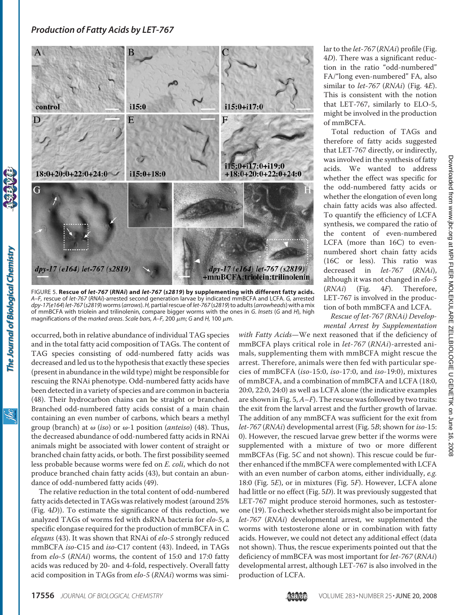

FIGURE 5. **Rescue of** *let-767* **(***RNAi***) and** *let-767* **(***s2819***) by supplementing with different fatty acids.** *A–F,* rescue of *let-767* (*RNAi*)-arrested second generation larvae by indicated mmBCFA and LCFA. *G,* arrested *dpy-17*(*e164*) *let-767* (*s2819*) worms (*arrows*).*H,* partial rescue of*let-767* (*s2819*) to adults (*arrowheads*) with a mix of mmBCFA with triolein and trilinolenin, compare bigger worms with the ones in *G*. *Insets* (*G* and *H*), high magnifications of the *marked areas. Scale bars, A–F,* 200 μm; *G* and *H*, 100 μm.

occurred, both in relative abundance of individual TAG species and in the total fatty acid composition of TAGs. The content of TAG species consisting of odd-numbered fatty acids was decreased and led us to the hypothesis that exactly these species (present in abundance in the wild type) might be responsible for rescuing the RNAi phenotype. Odd-numbered fatty acids have been detected in a variety of species and are common in bacteria (48). Their hydrocarbon chains can be straight or branched. Branched odd-numbered fatty acids consist of a main chain containing an even number of carbons, which bears a methyl group (branch) at  $\omega$  (*iso*) or  $\omega$ -1 position (*anteiso*) (48). Thus, the decreased abundance of odd-numbered fatty acids in RNAi animals might be associated with lower content of straight or branched chain fatty acids, or both. The first possibility seemed less probable because worms were fed on *E. coli*, which do not produce branched chain fatty acids (43), but contain an abundance of odd-numbered fatty acids (49).

The relative reduction in the total content of odd-numbered fatty acids detected in TAGs was relatively modest (around 25% (Fig. 4*D*)). To estimate the significance of this reduction, we analyzed TAGs of worms fed with dsRNA bacteria for *elo-5*, a specific elongase required for the production of mmBCFA in *C. elegans* (43). It was shown that RNAi of *elo-5* strongly reduced mmBCFA *iso-*C15 and *iso-*C17 content (43). Indeed, in TAGs from *elo-5* (*RNAi*) worms, the content of 15:0 and 17:0 fatty acids was reduced by 20- and 4-fold, respectively. Overall fatty acid composition in TAGs from *elo-5* (*RNAi*) worms was similar to the *let-767* (*RNAi*) profile (Fig. 4*D*). There was a significant reduction in the ratio "odd-numbered" FA/"long even-numbered" FA, also similar to *let-767* (*RNAi*) (Fig. 4*E*). This is consistent with the notion that LET-767, similarly to ELO-5, might be involved in the production of mmBCFA.

Total reduction of TAGs and therefore of fatty acids suggested that LET-767 directly, or indirectly, was involved in the synthesis of fatty acids. We wanted to address whether the effect was specific for the odd-numbered fatty acids or whether the elongation of even long chain fatty acids was also affected. To quantify the efficiency of LCFA synthesis, we compared the ratio of the content of even-numbered LCFA (more than 16C) to evennumbered short chain fatty acids (16C or less). This ratio was decreased in *let-767* (*RNAi*), although it was not changed in *elo-5* (*RNAi*) (Fig. 4*F*). Therefore, LET-767 is involved in the production of both mmBCFA and LCFA.

*Rescue of let-767 (RNAi) Developmental Arrest by Supplementation*

*with Fatty Acids*—We next reasoned that if the deficiency of mmBCFA plays critical role in *let-767* (*RNAi*)-arrested animals, supplementing them with mmBCFA might rescue the arrest. Therefore, animals were then fed with particular species of mmBCFA (*iso-*15:0, *iso-*17:0, and *iso-*19:0), mixtures of mmBCFA, and a combination of mmBCFA and LCFA (18:0, 20:0, 22:0, 24:0) as well as LCFA alone (the indicative examples are shown in Fig. 5,*A*–*F*). The rescue was followed by two traits: the exit from the larval arrest and the further growth of larvae. The addition of any mmBCFA was sufficient for the exit from *let-767* (*RNAi*) developmental arrest (Fig. 5*B*; shown for *iso-*15: 0). However, the rescued larvae grew better if the worms were supplemented with a mixture of two or more different mmBCFAs (Fig. 5*C* and not shown). This rescue could be further enhanced if the mmBCFA were complemented with LCFA with an even number of carbon atoms, either individually, *e.g.* 18:0 (Fig. 5*E*), or in mixtures (Fig. 5*F*). However, LCFA alone had little or no effect (Fig. 5*D*). It was previously suggested that LET-767 might produce steroid hormones, such as testosterone (19). To check whether steroids might also be important for *let-767* (*RNAi*) developmental arrest, we supplemented the worms with testosterone alone or in combination with fatty acids. However, we could not detect any additional effect (data not shown). Thus, the rescue experiments pointed out that the deficiency of mmBCFA was most important for *let-767* (*RNAi*) developmental arrest, although LET-767 is also involved in the production of LCFA.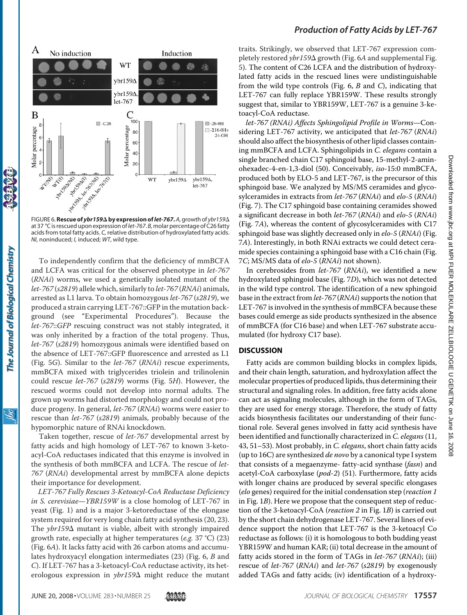

 $F$ IGURE 6. **Rescue of** *ybr159* $\Delta$  *by expression of let-767*. A, growth of *ybr159* $\Delta$  at 37 °C is rescued upon expression of*let-767*. *B,* molar percentage of C26fatty acids from total fatty acids. *C,* relative distribution of hydroxylated fatty acids. *NI,* noninduced; *I,* induced; *WT*, wild type.

To independently confirm that the deficiency of mmBCFA and LCFA was critical for the observed phenotype in *let-767* (*RNAi*) worms, we used a genetically isolated mutant of the *let-767* (*s2819*) allele which, similarly to *let-767* (*RNAi*) animals, arrested as L1 larva. To obtain homozygous *let-767* (*s2819*), we produced a strain carrying LET-767::GFP in the mutation background (see "Experimental Procedures"). Because the *let-767*::*GFP* rescuing construct was not stably integrated, it was only inherited by a fraction of the total progeny. Thus, *let-767* (*s2819*) homozygous animals were identified based on the absence of LET-767::GFP fluorescence and arrested as L1 (Fig. 5*G*). Similar to the *let-767* (*RNAi*) rescue experiments, mmBCFA mixed with triglycerides triolein and trilinolenin could rescue *let-767* (*s2819*) worms (Fig. 5*H*). However, the rescued worms could not develop into normal adults. The grown up worms had distorted morphology and could not produce progeny. In general, *let-767* (*RNAi*) worms were easier to rescue than *let-767* (*s2819*) animals, probably because of the hypomorphic nature of RNAi knockdown.

Taken together, rescue of *let-767* developmental arrest by fatty acids and high homology of LET-767 to known 3-ketoacyl-CoA reductases indicated that this enzyme is involved in the synthesis of both mmBCFA and LCFA. The rescue of *let-767* (*RNAi*) developmental arrest by mmBCFA alone depicts their importance for development.

*LET-767 Fully Rescues 3-Ketoacyl-CoA Reductase Deficiency in S. cerevisiae*—*YBR159W* is a close homolog of LET-767 in yeast (Fig. 1) and is a major 3-ketoreductase of the elongase system required for very long chain fatty acid synthesis (20, 23). The *ybr159* $\Delta$  mutant is viable, albeit with strongly impaired growth rate, especially at higher temperatures (*e.g.* 37 °C) (23) (Fig. 6*A*). It lacks fatty acid with 26 carbon atoms and accumulates hydroxyacyl elongation intermediates (23) (Fig. 6, *B* and *C*). If LET-767 has a 3-ketoacyl-CoA reductase activity, its heterologous expression in *ybr159* $\Delta$  might reduce the mutant

traits. Strikingly, we observed that LET-767 expression completely restored *ybr159* $\Delta$  growth (Fig. 6A and [supplemental Fig.](http://www.jbc.org/cgi/content/full/M800965200/DC1) [5\)](http://www.jbc.org/cgi/content/full/M800965200/DC1). The content of C26 LCFA and the distribution of hydroxylated fatty acids in the rescued lines were undistinguishable from the wild type controls (Fig. 6, *B* and *C*), indicating that LET-767 can fully replace YBR159W. These results strongly suggest that, similar to YBR159W, LET-767 is a genuine 3-ketoacyl-CoA reductase.

*let-767 (RNAi) Affects Sphingolipid Profile in Worms*—Considering LET-767 activity, we anticipated that *let-767* (*RNAi*) should also affect the biosynthesis of other lipid classes containing mmBCFA and LCFA. Sphingolipids in *C. elegans* contain a single branched chain C17 sphingoid base, 15-methyl-2-aminohexadec-4-en-1,3-diol (50). Conceivably, *iso-*15:0 mmBCFA, produced both by ELO-5 and LET-767, is the precursor of this sphingoid base. We analyzed by MS/MS ceramides and glycosylceramides in extracts from *let-767* (*RNAi*) and *elo-5* (*RNAi*) (Fig. 7). The C17 sphingoid base containing ceramides showed a significant decrease in both *let-767* (*RNAi*) and *elo-5* (*RNAi*) (Fig. 7*A*), whereas the content of glycosylceramides with C17 sphingoid base was slightly decreased only in *elo-5* (*RNAi*) (Fig. 7*A*). Interestingly, in both RNAi extracts we could detect ceramide species containing a sphingoid base with a C16 chain (Fig. 7*C*; MS/MS data of *elo-5* (*RNAi*) not shown).

In cerebrosides from *let-767* (*RNAi*), we identified a new hydroxylated sphingoid base (Fig. 7*D*), which was not detected in the wild type control. The identification of a new sphingoid base in the extract from *let-767* (*RNAi*) supports the notion that LET-767 is involved in the synthesis of mmBCFA because these bases could emerge as side products synthesized in the absence of mmBCFA (for C16 base) and when LET-767 substrate accumulated (for hydroxy C17 base).

#### **DISCUSSION**

Fatty acids are common building blocks in complex lipids, and their chain length, saturation, and hydroxylation affect the molecular properties of produced lipids, thus determining their structural and signaling roles. In addition, free fatty acids alone can act as signaling molecules, although in the form of TAGs, they are used for energy storage. Therefore, the study of fatty acids biosynthesis facilitates our understanding of their functional role. Several genes involved in fatty acid synthesis have been identified and functionally characterized in *C. elegans* (11, 43, 51–53). Most probably, in *C. elegans*, short chain fatty acids (up to 16C) are synthesized *de novo* by a canonical type I system that consists of a megaenzyme- fatty-acid synthase (*fasn*) and acetyl-CoA carboxylase (*pod-2*) (51). Furthermore, fatty acids with longer chains are produced by several specific elongases (*elo* genes) required for the initial condensation step (*reaction 1* in Fig. 1*B*). Here we propose that the consequent step of reduction of the 3-ketoacyl-CoA (*reaction 2* in Fig. 1*B*) is carried out by the short chain dehydrogenase LET-767. Several lines of evidence support the notion that LET-767 is the 3-ketoacyl Co reductase as follows: (i) it is homologous to both budding yeast YBR159W and human KAR; (ii) total decrease in the amount of fatty acids stored in the form of TAGs in *let-767* (*RNAi*); (iii) rescue of *let-767* (*RNAi*) and *let-767* (*s2819*) by exogenously added TAGs and fatty acids; (iv) identification of a hydroxy-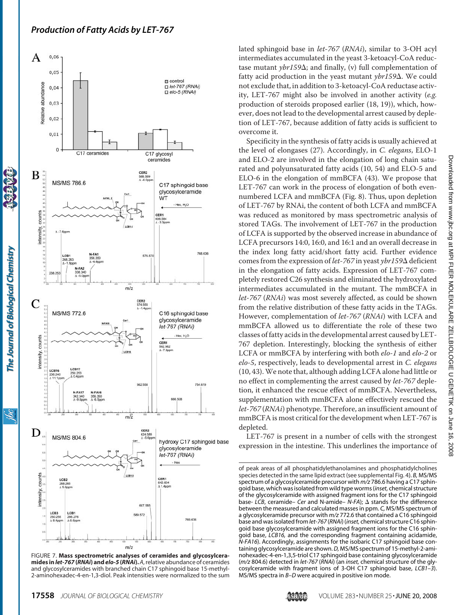

The Journal of Biological Chemistry

ibc

FIGURE 7. **Mass spectrometric analyses of ceramides and glycosylceramides in***let-767* **(***RNAi***) and***elo-5* **(***RNAi***).***A*, relative abundance of ceramides and glycosylceramides with branched chain C17 sphingoid base 15-methyl-2-aminohexadec-4-en-1,3-diol. Peak intensities were normalized to the sum

lated sphingoid base in *let-767* (*RNAi*), similar to 3-OH acyl intermediates accumulated in the yeast 3-ketoacyl-CoA reductase mutant *ybr159* $\Delta$ ; and finally, (v) full complementation of fatty acid production in the yeast mutant *ybr159*Δ. We could not exclude that, in addition to 3-ketoacyl-CoA reductase activity, LET-767 might also be involved in another activity (*e.g.* production of steroids proposed earlier (18, 19)), which, however, does not lead to the developmental arrest caused by depletion of LET-767, because addition of fatty acids is sufficient to overcome it.

Specificity in the synthesis of fatty acids is usually achieved at the level of elongases (27). Accordingly, in *C. elegans*, ELO-1 and ELO-2 are involved in the elongation of long chain saturated and polyunsaturated fatty acids (10, 54) and ELO-5 and ELO-6 in the elongation of mmBCFA (43). We propose that LET-767 can work in the process of elongation of both evennumbered LCFA and mmBCFA (Fig. 8). Thus, upon depletion of LET-767 by RNAi, the content of both LCFA and mmBCFA was reduced as monitored by mass spectrometric analysis of stored TAGs. The involvement of LET-767 in the production of LCFA is supported by the observed increase in abundance of LCFA precursors 14:0, 16:0, and 16:1 and an overall decrease in the index long fatty acid/short fatty acid. Further evidence comes from the expression of *let-767* in yeast *ybr159* $\Delta$  deficient in the elongation of fatty acids. Expression of LET-767 completely restored C26 synthesis and eliminated the hydroxylated intermediates accumulated in the mutant. The mmBCFA in *let-767* (*RNAi*) was most severely affected, as could be shown from the relative distribution of these fatty acids in the TAGs. However, complementation of *let-767* (*RNAi*) with LCFA and mmBCFA allowed us to differentiate the role of these two classes of fatty acids in the developmental arrest caused by LET-767 depletion. Interestingly, blocking the synthesis of either LCFA or mmBCFA by interfering with both *elo-1* and *elo-2* or *elo-5*, respectively, leads to developmental arrest in *C. elegans* (10, 43).We note that, although adding LCFA alone had little or no effect in complementing the arrest caused by *let-767* depletion, it enhanced the rescue effect of mmBCFA. Nevertheless, supplementation with mmBCFA alone effectively rescued the *let-767* (*RNAi*) phenotype. Therefore, an insufficient amount of mmBCFA is most critical for the development when LET-767 is depleted.

LET-767 is present in a number of cells with the strongest expression in the intestine. This underlines the importance of

of peak areas of all phosphatidylethanolamines and phosphatidylcholines species detected in the same lipid extract (see [supplemental Fig. 4\)](http://www.jbc.org/cgi/content/full/M800965200/DC1). *B,* MS/MS spectrum of a glycosylceramide precursor with *m/z* 786.6 having a C17 sphingoid base, which was isolated from wild type worms (*inset,* chemical structure of the glycosylceramide with assigned fragment ions for the C17 sphingoid base- LCB, ceramide- Cer and N-amide-  $N$ -FA);  $\Delta$  stands for the difference between the measured and calculated masses in ppm. *C,* MS/MS spectrum of a glycosylceramide precursor with *m/z* 772.6 that contained a C16 sphingoid base and was isolated from *let-767* (*RNAi*) (*inset,* chemical structure C16 sphingoid base glycosylceramide with assigned fragment ions for the C16 sphingoid base, *LCB16,* and the corresponding fragment containing acidamide, *N-FA16*). Accordingly, assignments for the isobaric C17 sphingoid base containing glycosylceramide are shown.*D,* MS/MS spectrum of 15-methyl-2-aminohexadec-4-en-1,3,5-triol C17 sphingoid base containing glycosylceramide (*m/z* 804.6) detected in *let-767* (*RNAi*) (an *inset,* chemical structure of the glycosylceramide with fragment ions of 3-OH C17 sphingoid base, *LCB1–3*). MS/MS spectra in *B–D* were acquired in positive ion mode.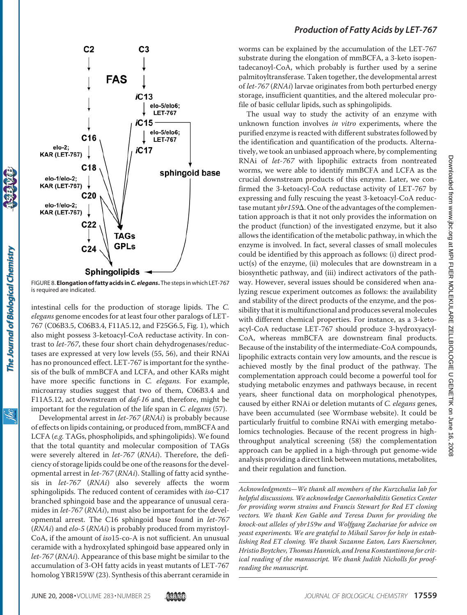

FIGURE 8. **Elongation of fatty acids in***C. elegans***.** The steps in which LET-767 is required are indicated.

intestinal cells for the production of storage lipids. The *C. elegans* genome encodes for at least four other paralogs of LET-767 (C06B3.5, C06B3.4, F11A5.12, and F25G6.5, Fig. 1), which also might possess 3-ketoacyl-CoA reductase activity. In contrast to *let-767*, these four short chain dehydrogenases/reductases are expressed at very low levels (55, 56), and their RNAi has no pronounced effect. LET-767 is important for the synthesis of the bulk of mmBCFA and LCFA, and other KARs might have more specific functions in *C. elegans*. For example, microarray studies suggest that two of them, C06B3.4 and F11A5.12, act downstream of *daf-16* and, therefore, might be important for the regulation of the life span in *C. elegans* (57).

Developmental arrest in *let-767* (*RNAi*) is probably because of effects on lipids containing, or produced from, mmBCFA and LCFA (*e.g.* TAGs, phospholipids, and sphingolipids). We found that the total quantity and molecular composition of TAGs were severely altered in *let-767* (*RNAi*). Therefore, the deficiency of storage lipids could be one of the reasons for the developmental arrest in *let-767* (*RNAi*). Stalling of fatty acid synthesis in *let-767* (*RNAi*) also severely affects the worm sphingolipids. The reduced content of ceramides with *iso-*C17 branched sphingoid base and the appearance of unusual ceramides in *let-767* (*RNAi*), must also be important for the developmental arrest. The C16 sphingoid base found in *let-767* (*RNAi*) and *elo-5* (*RNAi*) is probably produced from myristoyl-CoA, if the amount of *iso*15-co-A is not sufficient. An unusual ceramide with a hydroxylated sphingoid base appeared only in *let-767* (*RNAi*). Appearance of this base might be similar to the accumulation of 3-OH fatty acids in yeast mutants of LET-767 homolog YBR159W (23). Synthesis of this aberrant ceramide in

## *Production of Fatty Acids by LET-767*

worms can be explained by the accumulation of the LET-767 substrate during the elongation of mmBCFA, a 3-keto isopentadecanoyl-CoA, which probably is further used by a serine palmitoyltransferase. Taken together, the developmental arrest of *let-767* (*RNAi*) larvae originates from both perturbed energy storage, insufficient quantities, and the altered molecular profile of basic cellular lipids, such as sphingolipids.

The usual way to study the activity of an enzyme with unknown function involves *in vitro* experiments, where the purified enzyme is reacted with different substrates followed by the identification and quantification of the products. Alternatively, we took an unbiased approach where, by complementing RNAi of *let-767* with lipophilic extracts from nontreated worms, we were able to identify mmBCFA and LCFA as the crucial downstream products of this enzyme. Later, we confirmed the 3-ketoacyl-CoA reductase activity of LET-767 by expressing and fully rescuing the yeast 3-ketoacyl-CoA reductase mutant *ybr159* $\Delta$ . One of the advantages of the complementation approach is that it not only provides the information on the product (function) of the investigated enzyme, but it also allows the identification of the metabolic pathway, in which the enzyme is involved. In fact, several classes of small molecules could be identified by this approach as follows: (i) direct product(s) of the enzyme, (ii) molecules that are downstream in a biosynthetic pathway, and (iii) indirect activators of the pathway. However, several issues should be considered when analyzing rescue experiment outcomes as follows: the availability and stability of the direct products of the enzyme, and the possibility that it is multifunctional and produces several molecules with different chemical properties. For instance, as a 3-ketoacyl-CoA reductase LET-767 should produce 3-hydroxyacyl-CoA, whereas mmBCFA are downstream final products. Because of the instability of the intermediate-CoA compounds, lipophilic extracts contain very low amounts, and the rescue is achieved mostly by the final product of the pathway. The complementation approach could become a powerful tool for studying metabolic enzymes and pathways because, in recent years, sheer functional data on morphological phenotypes, caused by either RNAi or deletion mutants of *C. elegans* genes, have been accumulated (see Wormbase website). It could be particularly fruitful to combine RNAi with emerging metabolomics technologies. Because of the recent progress in highthroughput analytical screening (58) the complementation approach can be applied in a high-through put genome-wide analysis providing a direct link between mutations, metabolites, and their regulation and function.

*Acknowledgments—We thank all members of the Kurzchalia lab for helpful discussions. We acknowledge Caenorhabditis Genetics Center for providing worm strains and Francis Stewart for Red ET cloning vectors. We thank Ken Gable and Teresa Dunn for providing the knock-out alleles of ybr159w and Wolfgang Zachariae for advice on yeast experiments. We are grateful to Mihail Sarov for help in establishing Red ET cloning. We thank Suzanne Eaton, Lars Kuerschner, Hristio Boytchev, Thomas Hannich, and Irena Konstantinova for critical reading of the manuscript. We thank Judith Nicholls for proofreading the manuscript.*